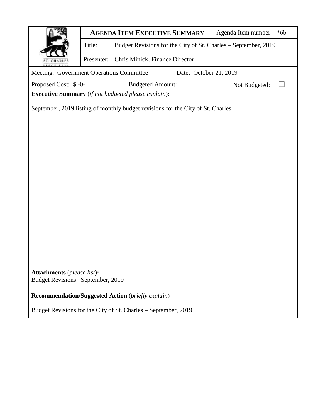|                                                                                  |            |  | <b>AGENDA ITEM EXECUTIVE SUMMARY</b> |  | Agenda Item number:<br>$*6b$                                   |  |  |  |
|----------------------------------------------------------------------------------|------------|--|--------------------------------------|--|----------------------------------------------------------------|--|--|--|
|                                                                                  | Title:     |  |                                      |  | Budget Revisions for the City of St. Charles - September, 2019 |  |  |  |
| CHARLE                                                                           | Presenter: |  | Chris Minick, Finance Director       |  |                                                                |  |  |  |
| Meeting: Government Operations Committee<br>Date: October 21, 2019               |            |  |                                      |  |                                                                |  |  |  |
| Proposed Cost: \$-0-                                                             |            |  | <b>Budgeted Amount:</b>              |  | Not Budgeted:<br>$\sim$                                        |  |  |  |
| <b>Executive Summary</b> (if not budgeted please explain):                       |            |  |                                      |  |                                                                |  |  |  |
| September, 2019 listing of monthly budget revisions for the City of St. Charles. |            |  |                                      |  |                                                                |  |  |  |
|                                                                                  |            |  |                                      |  |                                                                |  |  |  |
|                                                                                  |            |  |                                      |  |                                                                |  |  |  |
|                                                                                  |            |  |                                      |  |                                                                |  |  |  |
|                                                                                  |            |  |                                      |  |                                                                |  |  |  |
|                                                                                  |            |  |                                      |  |                                                                |  |  |  |
|                                                                                  |            |  |                                      |  |                                                                |  |  |  |
|                                                                                  |            |  |                                      |  |                                                                |  |  |  |
|                                                                                  |            |  |                                      |  |                                                                |  |  |  |
|                                                                                  |            |  |                                      |  |                                                                |  |  |  |
|                                                                                  |            |  |                                      |  |                                                                |  |  |  |
|                                                                                  |            |  |                                      |  |                                                                |  |  |  |
|                                                                                  |            |  |                                      |  |                                                                |  |  |  |
|                                                                                  |            |  |                                      |  |                                                                |  |  |  |
|                                                                                  |            |  |                                      |  |                                                                |  |  |  |
| <b>Attachments</b> (please list):<br>Budget Revisions -September, 2019           |            |  |                                      |  |                                                                |  |  |  |
| <b>Recommendation/Suggested Action</b> (briefly explain)                         |            |  |                                      |  |                                                                |  |  |  |
| Budget Revisions for the City of St. Charles – September, 2019                   |            |  |                                      |  |                                                                |  |  |  |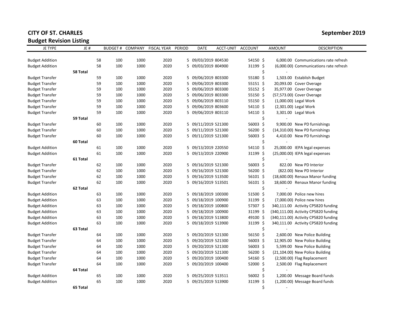## **CITY OF ST. CHARLES** September 2019

## **Budget Revision Listing**

| <b>JE TYPE</b>         | JE#      |    |     |      | BUDGET # COMPANY FISCAL YEAR | PERIOD | DATE                | ACCT-UNIT ACCOUNT |          | <b>AMOUNT</b> | <b>DESCRIPTION</b>                     |
|------------------------|----------|----|-----|------|------------------------------|--------|---------------------|-------------------|----------|---------------|----------------------------------------|
|                        |          |    |     |      |                              |        |                     |                   |          |               |                                        |
| <b>Budget Addition</b> |          | 58 | 100 | 1000 | 2020                         |        | 5 09/03/2019 804530 |                   | 54150 \$ |               | 6,000.00 Communications rate refresh   |
| <b>Budget Addition</b> |          | 58 | 100 | 1000 | 2020                         |        | 5 09/03/2019 804900 |                   | 31199 \$ |               | (6,000.00) Communications rate refresh |
|                        | 58 Total |    |     |      |                              |        |                     |                   |          | Ś             |                                        |
| <b>Budget Transfer</b> |          | 59 | 100 | 1000 | 2020                         |        | 5 09/06/2019 803300 |                   | 55180 \$ |               | 1,503.00 Establish Budget              |
| <b>Budget Transfer</b> |          | 59 | 100 | 1000 | 2020                         |        | 5 09/06/2019 803300 |                   | 55151 \$ |               | 20,093.00 Cover Overage                |
| <b>Budget Transfer</b> |          | 59 | 100 | 1000 | 2020                         |        | 5 09/06/2019 803300 |                   | 55152 \$ |               | 35,977.00 Cover Overage                |
| <b>Budget Transfer</b> |          | 59 | 100 | 1000 | 2020                         | 5      | 09/06/2019 803300   |                   | 55150 \$ |               | (57,573.00) Cover Overage              |
| <b>Budget Transfer</b> |          | 59 | 100 | 1000 | 2020                         | 5.     | 09/06/2019 803110   |                   | 55150 \$ |               | (1,000.00) Legal Work                  |
| <b>Budget Transfer</b> |          | 59 | 100 | 1000 | 2020                         |        | 5 09/06/2019 803600 |                   | 54110 \$ |               | (2,301.00) Legal Work                  |
| <b>Budget Transfer</b> |          | 59 | 100 | 1000 | 2020                         |        | 5 09/06/2019 803110 |                   | 54110 \$ |               | 3,301.00 Legal Work                    |
|                        | 59 Total |    |     |      |                              |        |                     |                   |          | \$            |                                        |
| <b>Budget Transfer</b> |          | 60 | 100 | 1000 | 2020                         |        | 5 09/11/2019 521300 |                   | 56003 \$ |               | 9,900.00 New PD furnishings            |
| <b>Budget Transfer</b> |          | 60 | 100 | 1000 | 2020                         |        | 5 09/11/2019 521300 |                   | 56200 \$ |               | (14,310.00) New PD furnishings         |
| <b>Budget Transfer</b> |          | 60 | 100 | 1000 | 2020                         |        | 5 09/11/2019 521300 |                   | 56003 \$ |               | 4,410.00 New PD furnishings            |
|                        | 60 Total |    |     |      |                              |        |                     |                   |          | Ś             |                                        |
| <b>Budget Addition</b> |          | 61 | 100 | 1000 | 2020                         |        | 5 09/13/2019 220550 |                   | 54110 \$ |               | 25,000.00 IEPA legal expenses          |
| <b>Budget Addition</b> |          | 61 | 100 | 1000 | 2020                         |        | 5 09/13/2019 220900 |                   | 31199 \$ |               | (25,000.00) IEPA legal expenses        |
|                        | 61 Total |    |     |      |                              |        |                     |                   |          | \$            |                                        |
| <b>Budget Transfer</b> |          | 62 | 100 | 1000 | 2020                         |        | 5 09/16/2019 521300 |                   | 56003 \$ |               | 822.00 New PD Interior                 |
| <b>Budget Transfer</b> |          | 62 | 100 | 1000 | 2020                         |        | 5 09/16/2019 521300 |                   | 56200 \$ |               | (822.00) New PD Interior               |
| <b>Budget Transfer</b> |          | 62 | 100 | 1000 | 2020                         |        | 5 09/16/2019 513500 |                   | 56101 \$ |               | (18,600.00) Renaux Manor funding       |
| <b>Budget Transfer</b> |          | 62 | 100 | 1000 | 2020                         | 5.     | 09/16/2019 513501   |                   | 56101 \$ |               | 18,600.00 Renaux Manor funding         |
|                        | 62 Total |    |     |      |                              |        |                     |                   |          | \$            |                                        |
| <b>Budget Addition</b> |          | 63 | 100 | 1000 | 2020                         |        | 5 09/18/2019 100300 |                   | 51500 \$ |               | 7,000.00 Police new hires              |
| <b>Budget Addition</b> |          | 63 | 100 | 1000 | 2020                         |        | 5 09/18/2019 100900 |                   | 31199 \$ |               | (7,000.00) Police new hires            |
| <b>Budget Addition</b> |          | 63 | 100 | 1000 | 2020                         |        | 5 09/18/2019 100800 |                   | 57307 \$ |               | 340,111.00 Activity CP5820 funding     |
| <b>Budget Addition</b> |          | 63 | 100 | 1000 | 2020                         |        | 5 09/18/2019 100900 |                   | 31199 \$ |               | (340,111.00) Activity CP5820 funding   |
| <b>Budget Addition</b> |          | 63 | 100 | 1000 | 2020                         |        | 5 09/18/2019 513800 |                   | 49100 \$ |               | (340,111.00) Activity CP5820 funding   |
| <b>Budget Addition</b> |          | 63 | 100 | 1000 | 2020                         |        | 5 09/18/2019 513900 |                   | 31199 \$ |               | 340,111.00 Activity CP5820 funding     |
|                        | 63 Total |    |     |      |                              |        |                     |                   |          | \$            |                                        |
| <b>Budget Transfer</b> |          | 64 | 100 | 1000 | 2020                         |        | 5 09/20/2019 521300 |                   | 56150 \$ |               | 2,600.00 New Police Building           |
| <b>Budget Transfer</b> |          | 64 | 100 | 1000 | 2020                         |        | 5 09/20/2019 521300 |                   | 56003 \$ |               | 12,905.00 New Police Building          |
| <b>Budget Transfer</b> |          | 64 | 100 | 1000 | 2020                         |        | 5 09/20/2019 521300 |                   | 56003 \$ |               | 5,599.00 New Police Building           |
| <b>Budget Transfer</b> |          | 64 | 100 | 1000 | 2020                         |        | 5 09/20/2019 521300 |                   | 56200 \$ |               | (21,104.00) New Police Building        |
| <b>Budget Transfer</b> |          | 64 | 100 | 1000 | 2020                         |        | 5 09/20/2019 100400 |                   | 54160 \$ |               | (2,500.00) Flag Replacement            |
| <b>Budget Transfer</b> |          | 64 | 100 | 1000 | 2020                         |        | 5 09/20/2019 100400 |                   | 52000 \$ |               | 2,500.00 Flag Replacement              |
|                        | 64 Total |    |     |      |                              |        |                     |                   |          | Ś             |                                        |
| <b>Budget Addition</b> |          | 65 | 100 | 1000 | 2020                         |        | 5 09/25/2019 513511 |                   | 56002 \$ |               | 1,200.00 Message Board funds           |
| <b>Budget Addition</b> |          | 65 | 100 | 1000 | 2020                         |        | 5 09/25/2019 513900 |                   | 31199 \$ |               | (1,200.00) Message Board funds         |
|                        | 65 Total |    |     |      |                              |        |                     |                   |          | Ś.            |                                        |